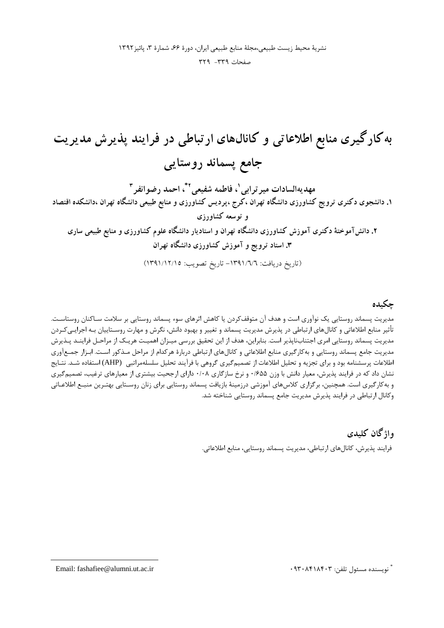#### صفحات ٣٣٩- ٣٢٩

به کارگیری منابع اطلاعاتی و کانالهای ارتباطی در فرایند پذیرش مدیریت جامع پسماند روستایی مهديهالسادات مير ترابي '، فاطمه شفيعي ' ّ، احمد رضوانفر " ۱. دانشجوی دکتری ترویج کشاورزی دانشگاه تهران ،کرج ،پردیس کشاورزی و منابع طبیعی دانشگاه تهران ،دانشکده اقتصاد و توسعه کشاورزی ۲. دانشآموختهٔ دکتری آموزش کشاورزی دانشگاه تهران و استادیار دانشگاه علوم کشاورزی و منابع طبیعی ساری ۳. استاد ترویج و آموزش کشاورزی دانشگاه تهران (تاريخ دريافت: ١٣٩١/٦/٦- تاريخ تصويب: ١٣٩١/١٢/١٥)

#### چکىدە

مدیریت پسماند روستایی یک نوآوری است و هدف آن متوقفکردن یا کاهش اثرهای سوء پسماند روستایی بر سلامت سـاکنان روستاسـت. تأثیر منابع اطلاعاتی و کانالهای ارتباطی در پذیرش مدیریت پسماند و تغییر و بهبود دانش، نگرش و مهارت روسـتاییان بـه اجرایـیکـردن مدیریت پسماند روستایی امری اجتنابناپذیر است. بنابراین، هدف از این تحقیق بررسی میـزان اهمیـت هریـک از مراحـل فراینــد پــذیرش مدیریت جامع پسماند روستایی و به کارگیری منابع اطلاعاتی و کانالهای ارتباطی دربارهٔ هرکدام از مراحل مـذکور اسـت. ابـزار جمـعآوری اطلاعات پرسشنامه بود و برای تجزیه و تحلیل اطلاعات از تصمیم گیری گروهی با فرآیند تحلیل سلسلهمراتبی (AHP) استفاده شـد. نتـایج نشان داد که در فرایند پذیرش، معیار دانش با وزن ۶۵۵/۰ و نرخ سازگاری ۰/۰۸ دارای ارجحیت بیشتری از معیارهای ترغیب، تصمیمگیری و به کارگیری است. همچنین، برگزاری کلاسهای آموزشی درزمینهٔ بازیافت پسماند روستایی برای زنان روسـتایی بهتـرین منبـع اطلاعـاتی وكانال ارتباطي در فرايند پذيرش مديريت جامع پسماند روستايي شناخته شد.

## واژگان كليدي

فرايند پذيرش، كانالهاي ارتباطي، مديريت پسماند روستايي، منابع اطلاعاتي.

ٌ نويسنده مسئول تلفن: ۰۹۳۰۸۴۱۸۴۰۳

Email: fashafiee@alumni.ut.ac.ir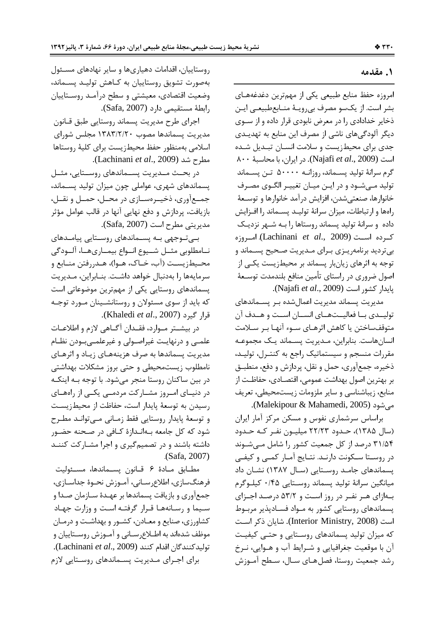#### ۱. مقدمه

امروزه حفظ منابع طبیعی یکی از مهمترین دغدغههای بشر است. از یکسو مصرف بی رویـهٔ منـابعطبیعـی ایـن ذخایر خدادادی را در معرض نابودی قرار داده و از سـوی دیگر آلودگیهای ناشی از مصرف این منابع به تهدیـدی جدی برای محیطزیست و سلامت انسـان تبـدیل شـده است (Najafi et al., 2009). در ایران، با محاسبهٔ ۸۰۰ گرم سرانهٔ تولید پســماند، روزانــه ۵۰۰۰۰ تــن پســماند تولید مـیشـود و در ایـن میـان تغییـر الگـوی مصـرف خانوارها، صنعتىشدن، افزايش درآمد خانوارها و توسـعهٔ راهها و ارتباطات، میزان سرانهٔ تولیـد پسـماند را افـزایش داده و سرانهٔ تولید پسماند روستاها را بـه شـهر نزدیـک كرده است (Lachinani et al., 2009). امروزه بی تردید برنامهریـزی بـرای مـدیریت صـحیح پسـماند و توجه به اثرهای زیانبار پسماند بر محیطزیست یکیی از اصول ضروری در راستای تأمین منافع بلندمدت توسـعهٔ پايدار كشور است (Najafi et al., 2009).

مدیریت پسماند مدیریت اعمالشده بـر پسـماندهای توليــدي بــا فعاليــتهــاي انســان اســت و هــدف آن متوقفساختن یا کاهش اثرهـای سـوء آنهـا بـر سـلامت انسان هاست. بنابراین، مـدیریت پسـماند یـک مجموعـه مقررات منسجم و سیستماتیک راجع به کنتـرل، تولیـد، ذخيره، جمع آوري، حمل و نقل، پردازش و دفع، منطبـق بر بهترين اصول بهداشت عمومي، اقتصـادي، حفاظـت از منابع، زیباشناسی و سایر ملزومات زیستمحیطی، تعریف می شود (Malekipour & Mahamedi, 2005).

براساس سرشماری نفوس و مسکن مرکز آمار ایران (سال ۱۳۸۵)، حـدود ۲۲/۲۳ میلیـون نفـر کـه حـدود ۳۱/۵۴ درصد از کل جمعیت کشور را شامل مے شوند در روسـتا سـكونت دارنـد. نتـايج آمـار كمـى و كيفـى یسماندهای جامـد روسـتایی (سـال ۱۳۸۷) نشـان داد میانگین سرانهٔ تولید پسماند روستایی ۰/۴۵ کیلوگرم بـهازای هـر نفـر در روز اسـت و ۵۳/۲ درصـد اجـزای پسماندهای روستایی کشور به مـواد فسـادپذیر مربـوط است (Interior Ministry, 2008). شایان ذکر است که میزان تولید پسماندهای روستایی و حتبی کیفیت آن با موقعیت جغرافیایی و شـرایط آب و هـوایی، نـرخ رشد جمعیت روستا، فصل هـای سـال، سـطح آمـوزش

روستاییان، اقدامات دهیاریها و سایر نهادهای مسئول بهصورت تشويق روستاييان به كـاهش توليـد پسـماند، وضعیت اقتصادی، معیشتی و سطح درآمد روستاییان رابطة مستقيمي دارد (Safa, 2007).

اجرای طرح مدیریت پسماند روستایی طبق قـانون مدیریت پسماندها مصوب ۱۳۸۳/۲/۲۰ مجلس شورای اسلامی بهمنظور حفظ محیط; یست برای کلیهٔ روستاها مطرح شد (Lachinani et al., 2009).

در بحــث مــديريت پســماندهاي روســتايي، مثــل پسماندهای شهری، عواملی چون میزان تولید پسـماند، جمعآوري، ذخيـرهسـازي در محـل، حمـل و نقـل، بازیافت، پردازش و دفع نهایی آنها در قالب عوامل مؤثر مديريتي مطرح است (Safa, 2007).

بےتوجهی به پسماندهای روستایی پیامدهای نــامطلوبي مثــل شــيوع انــواع بيمــاريهــا، آلــودگي محـيطزيسـت (آب، خـاك، هـوا)، هـدررفتن منـابع و سرمایهها را بهدنبال خواهد داشت. بنـابراین، مـدیریت یسماندهای روستایی یکی از مهمترین موضوعاتی است که باید از سوی مسئولان و روستانشـینان مـورد توجـه قرار گیرد (Khaledi et al., 2007).

در بیشـتر مـوارد، فقـدان آگـاهی لازم و اطلاعـات علمـی و درنهایـت غیراصـولی و غیرعلمـیبـودن نظـام مدیریت پسماندها به صرف هزینههـای زیـاد و اثرهـای نامطلوب زیستمحیطی و حتی بروز مشکلات بهداشتی در بين ساكنان روستا منجر مي شود. با توجه بـه اينكـه در دنیــای امــروز مشــارکت مردمــی یکــی از راههــای رسیدن به توسعهٔ پایدار است، حفاظت از محیطزیست و توسعهٔ پایدار روستایی فقط زمـانی مـیتوانـد مطـرح شود که کل جامعه بـهانـدازهٔ کـافی در صـحنه حضـور داشته باشند و در تصمیم گیری و اجرا مشـار کت کننـد (Safa, 2007).

مطـابق مـادة ۶ قــانون پســماندها، مسـئوليت فرهنگسازی، اطلاعرسـانی، آمـوزش نحـوهٔ جداســازی، جمعآوري و بازيافت پسماندها بر عهـدهٔ سـازمان صـدا و سیما و رسانهها قرار گرفته است و وزارت جهاد کشاورزی، صنایع و معـادن، کشـور و بهداشـت و درمـان موظف شدهاند به اطـلاع٫سـانی و آمـوزش روسـتاییان و توليدكنندگان اقدام كنند (Lachinani et al., 2009). برای اجـرای مـدیریت پسـماندهای روسـتایی لازم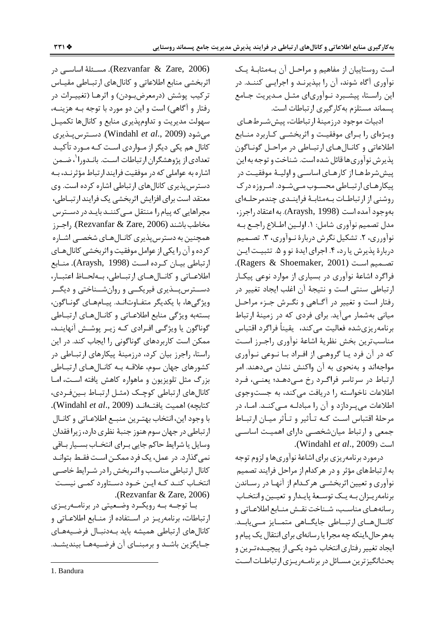است روستاییان از مفاهیم و مراحـل آن بـهمثابـهٔ یـک نوآوری آگاه شوند، آن را بپذیرنـد و اجرایـی کننـد. در این راستا، پیشـبرد نـوآوریای مثـل مـدیریت جـامع پسماند مستلزم به کار گیری ارتباطات است.

ادبیات موجود درزمینهٔ ارتباطات، پیششرطهای ویـژهای را بـرای موفقیـت و اثربخشـی کـاربرد منـابع اطلاعاتي و كانـالهـاي ارتبـاطي در مراحـل گونـاگون يذيرش نوآوري ها قائل شده است. شناخت و توجه به اين پیش شرطهـا از کارهـای اساسـی و اولیـهٔ موفقیـت در ییکارهای ار تبـاطی محسـوب مـی شـود. امـروزه در ک روشنی از ارتباطات بـهمثابـهٔ فراینـدی چندمرحلـهای بهوجود آمده است (Araysh, 1998). به اعتقاد راجرز، مدل تصميم نوآوري شامل: ١. اولـين اطـلاع راجـع بـه نوآورري، ٢. تشكيل نگرش دربارهٔ نـوآوري، ٣. تصـميم دربارهٔ پذیرش یا رد، ۴. اجرای ایدهٔ نو و ۵. تثبیت ایـن تصميم است (Ragers & Shoemaker, 2001). فراگرد اشاعهٔ نوآوری در بسیاری از موارد نوعی پیکار ارتباطی سنتی است و نتیجهٔ آن اغلب ایجاد تغییر در رفتار است و تغییر در آگـاهی و نگـرش جـزء مراحـل میانی بهشمار می آید. برای فردی که در زمینهٔ ارتباط برنامهريزيشده فعاليت مىكند، يقينأ فراگرد اقتباس مناسبترين بخش نظرية اشاعة نوأورى راجرز است که در آن فرد یـا گروهـی از افـراد بـا نــوعی نــوآوری مواجهاند و بهنحوی به آن واکنش نشان می دهند. امر ارتباط در سرتاسر فراگیرد رخ می دهد؛ یعنی، فیرد اطلاعات ناخواسته را دریافت میکند، به جستوجوی اطلاعات میپردازد و آن را مبادلـه مـیکنـد. امـا، در مرحلهٔ اقتباس است کـه تـأثیر و تـأثر میـان ارتبـاط جمعی و ارتباط میانشخصی دارای اهمیت اساسی .(Windahl et al., 2009).

درمورد برنامهريزي براي اشاعة نوآوريها ولزوم توجه به ارتباطهای مؤثر و در هرکدام از مراحل فرایند تصمیم نوآوري و تعيين اثربخشـي هركـدام از آنهـا در رسـاندن برنامهريـزان بـه يـك توسـعهٔ پايـدار و تعيـين وانتخـاب رسانههـای مناسـب، شـناخت نقـش منـابع اطلاعـاتی و کانالهای ارتباطی جایگاهی متمایز مےپابد. بههرحال،اینکه چه مجرا یا رسانهای برای انتقال یک پیام و ایجاد تغییر رفتاری انتخاب شود یکـی از پیچیـدهتـرین و بحثانگیز ترین مسائل در برنامهریزی ارتباطات است

(Rezvanfar & Zare, 2006). مسئلة اساسي در اثربخشی منابع اطلاعاتی و کانالهای ارتبـاطی مقیـاس ترکيب پوشش (درمعرضبودن) و اثرهـا (تغييـرات در رفتار و آگاهي) است و اين دو مورد با توجه بـه هزينــه، سهولت مديريت وتداوم پذيرى منابع وكانالها تكميل می شود (Windahl *et al.*, 2009). دسترس پنڈیری کانال هم یکی دیگر از مـواردی اسـت کـه مـورد تأکیـد تعدادی از پژوهشگران ارتباطات است. بانـدورا<sup>'</sup>، ضـمن اشاره به عواملی که در موفقیت فرایند ارتباط مؤثرنـد، بـه دسترس پذیری کانالهای ارتباطی اشاره کرده است. وی معتقد است برای افزایش اثربخشی یک فرایند ارتباطی، مجراهایی که پیام را منتقل مے کننـد بایـد در دسـترس مخاطب باشند (Rezvanfar & Zare, 2006). راجىرز همچنین به دسترس پذیری کانـالهـای شخصـی اشـاره کرده و آن را یکی از عوامل موفقیت و اثر بخشی کانال هـای ارتباطی بیـان کـرده اسـت (Araysh, 1998). منـابع اطلاعـاتي وكانـالهـاي ارتبـاطي، بـهلحـاظ اعتبـار، دســترس پـــذیری فیریکـــی و روانشــناختی و دیگــر ویژگیها، با یکدیگر متفـاوت|نــد. پیـامهـای گونـاگون، بستهبه ویژگی منابع اطلاعـاتی و کانـال هـای ارتبـاطی گوناگون یا ویژگی افـرادی کـه زیـر پوشـش آنهاینـد، ممکن است کاربردهای گوناگونی را ایجاب کند. در این راستا، راجرز بیان کرد، درزمینهٔ پیکارهای ارتبـاطی در کشورهای جهان سوم، علاقـه بـه کانـالهـای ارتبـاطی بزرگ مثل تلویزیون و ماهواره کاهش یافته است، امـا كانالهاي ارتباطي كوچك (مثـل ارتبـاط بـينفـردي، .(Windahl et al., 2009) كتابجه) اهميت يافتهاند با وجود اين، انتخاب بهتـرين منبـع اطلاعـاتي و كانـال ارتباطی در جهان سوم هنوز جنبهٔ نظری دارد، زیرا فقدان وسایل یا شرایط حاکم جایی بـرای انتخـاب بسـیار بـاقی نمي گذارد. در عمل، يک فرد ممکــن اسـت فقـط بتوانـد کانال ارتباطی مناسب و اثیربخش را در شیرایط خاصبی انتخـاب کنـد کـه ايـن خـود دسـتاورد کمـی نيسـت .(Rezvanfar  $&$  Zare, 2006)

با توجـه بـه رويكـرد وضـعيتى در برنامـهريـزى ارتباطات، برنامهريـز در اسـتفاده از منـابع اطلاعـاتي و كانالهاى ارتباطي هميشه بايد بـهدنبـال فرضـيههـاى جـايگزين باشـد و برمبنــاي آن فرضـيههـا بينديشـد.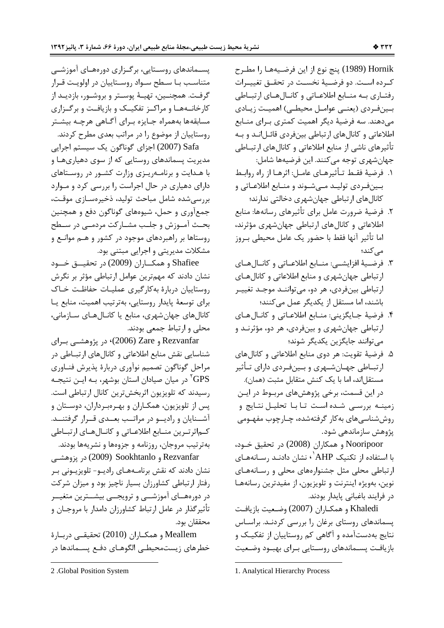Hornik (1989) پنج نوع از اين فرضـيههـا را مطـرح كـرده اسـت. دو فرضـيهٔ نخسـت در تحقـق تغييـرات رفتـاري بـه منـابع اطلاعـاتي و كانـالهـاي ارتبـاطي بینفردی (یعنے عوامل محیطے) اهمیت زیادی می دهند. سه فرضیهٔ دیگر اهمیت کمتری بـرای منــابع اطلاعاتی و کانالهای ارتباطی بینفردی قائـل|نـد و بـه تأثیرهای ناشی از منابع اطلاعاتی و کانالهای ارتبـاطی جهان شهري توجه مي كنند. اين فرضيهها شامل:

- ١. فرضيهٔ فقـط تـأثيرهـاي عامـل: اثرهـا از راه روابـط بينفردي توليـد مـىشـوند و منـابع اطلاعـاتى و کانالهای ارتباطی جهانشهری دخالتی ندارند؛
- ٢. فرضية ضرورت عامل براي تأثيرهاي رسانهها: منابع اطلاعاتی و کانال های ارتباطی جهان شهری مؤثرند، اما تأثير آنها فقط با حضور يک عامل محيطي بـروز مے کند؛
- ٣. فرضيهٔ افزايشــي: منــابع اطلاعــاتي و كانــالهــاي ارتباطي جهان شهري و منابع اطلاعاتي و كانال هاي ارتباطي بينفردي، هر دو، مي تواننـد موجـد تغييـر باشند، اما مستقل از یکدیگر عمل میکنند؛
- ۴. فرضيهٔ جـايگزيني: منـابع اطلاعـاتي و كانـال هـاي ارتباطي جهان شهري و بينفردي، هر دو، مؤثرنـد و مي توانند جايگزين پکديگر شوند؛
- ۵. فرضیهٔ تقویت: هر دوی منابع اطلاعاتی و کانالهای ارتبــاطي جهــان شــهري و بــينڧـردي داراي تــأثير مستقل|ند، اما با یک کنش متقابل مثبت (همان).

در این قسمت، برخی پژوهشهای مربوط در ایـن زمینـه بررسـی شـده اسـت تـابا تحليـل نتـايج و روششناسیهای بهکار گرفتهشده، چـارچوب مفهـومی پژوهش سازماندهی شود.

Nooripoor و همكاران (2008) در تحقيق خــود، با استفاده از تکنیک AHP'۰ نشان دادنـد ,ســانههـای ارتباطی محلی مثل جشنوارههای محلی و رسـانههـای نوين، بهويژه اينترنت و تلويزيون، از مفيدترين رسانههـا در فرايند باغباني پايدار بودند.

Khaledi و همكـاران (2007) وضـعيت بازيافـت پسماندهای روستای برغان را بررسی کردنـد. براسـاس نتایج بهدستآمده و آگاهی کم روستاییان از تفکیـک و بازیافت پسـماندهای روسـتایی بـرای بهبـود وضـعیت

پسـماندهای روسـتایی، برگـزاری دورههـای آموزشــی متناسب با سطح سواد روستاييان در اولويت قرار گرفـت. همچنــين، تهيــهٔ پوســتر و بروشــور، بازديــد از کارخانــههــا و مراکــز تفکيــک و بازيافــت و برگــزارى مسابقهها بههمراه جـايزه بـراي آگــاهي هرچــه بيشــتر روستاییان از موضوع را در مراتب بعدی مطرح کردند.

Safa (2007) اجزای گوناگون یک سیستم اجرایی مدیریت پسماندهای روستایی که از سوی دهیاریهـا و با هـدايت و برنامـهريـزى وزارت كشـور در روسـتاهاى دارای دهیاری در حال اجراست را بررسی کرد و موارد بررسی شده شامل مباحث تولید، ذخیرهسـازی موقـت، جمع آوري و حمل، شيوههاي گوناگون دفع و همچنين بحث آمــوزش و جلــب مشــاركت مردمــى در ســطح روستاها بر راهبردهای موجود در کشور و هـم موانـع و مشکلات مدیریتی و اجرایی مبتنی بود.

Shafiee و همكــاران (2009) در تحقيـــق خـــود نشان دادند که مهمترین عوامل ارتباطی مؤثر بر نگرش روستاییان دربارهٔ به کارگیری عملیات حفاظت خاک برای توسعهٔ پایدار روستایی، بهترتیب اهمیت، منابع یا كانالهاي جهان شهري، منابع يا كانـالهـاي سـازماني، محلي و ارتباط جمعي بودند.

Rezvanfar و Zare) در پژوهشــي بــراي شناسایی نقش منابع اطلاعاتی و کانالهای ارتبـاطی در مراحل گوناگون تصمیم نوآوری دربارهٔ پذیرش فنـاوری در میان صیادان استان بوشهر، بـه ایــن نتیجــه  $\mathrm{GPS}$ رسیدند که تلویزیون اثربخشترین کانال ارتباطی است. پس از تلویزیون، همکـاران و بهـرهبـرداران، دوسـتان و آشـنایان و رادیـو در مراتـب بعـدی قـرار گرفتنــد. كماثرترين منابع اطلاعاتي و كانالهاي ارتباطي بهترتيب مروجان، روزنامه و جزوهها و نشريهها بودند.

Rezvanfar و Sookhtanlo در يزوهشبي نشان دادند که نقش برنامـههـای رادیـو- تلویزیـونی بـر رفتار ارتباطی کشاورزان بسیار ناچیز بود و میزان شرکت در دورههــاي آموزشـــي و ترويجـــي بيشـــترين متغيـــر تأثیرگذار در عامل ارتباط کشاورزان دامدار با مروجـان و محققان بود.

Meallem و همكـاران (2010) تحقيقــى دربـارة خطرهای زیستمحیطے الگوهـای دفـع پسـماندها در

<sup>2 .</sup>Global Position System

<sup>1.</sup> Analytical Hierarchy Process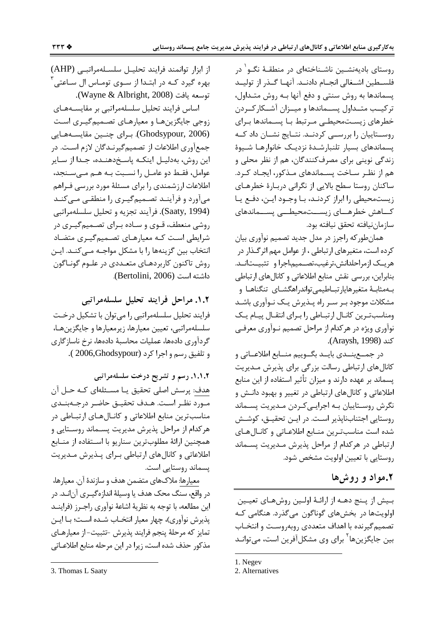روستای بادیهنشـین ناشـناختهای در منطقـهٔ نگـو<sup>\</sup> در فلســطين اشــغالي انجــام دادنــد. آنهــا گــذر از توليــد پسماندها به روش سنتی و دفع آنها بـه روش متـداول، ترکیــب متــداول پســماندها و میــزان آشــکارکــردن خطرهای زیستمحیطے مرتبط با پسـماندها بـرای روسـتاييان را بررســي كردنــد. نتــايج نشــان داد كــه يسماندهاى بسيار تلنبارشـدة نزديـك خانوارهـا شـيوة زندگی نوپنی برای مصرفکنندگان، هم از نظر محلی و هم از نظـر سـاخت پسـماندهای مـذکور، ایجـاد کـرد. ساکنان روستا سطح بالایی از نگرانی دربارهٔ خطرهـای زیستمحیطی را ابراز کردنـد، بـا وجـود ایـن، دفـع یـا كـــاهش خطرهـــاى زيســـتمحيطـــى پســـماندهاى سازمان نيافته تحقق نيافته بود.

همانطوركه راجرز در مدل جديد تصميم نوأوري بيان کرده است، متغیرهای ارتباطی ، از عوامل مهم اثرگذار در هريــک ازمراحلدانش،ترغيب،تصــميم،اجرا و تثبيــتانــد. بنابراین، بررسی نقش منابع اطلاعاتی و کانالهای ارتباطی بـهمثابـهٔ متغیرهایارتبـاطیمی تواندراهگشـای تنگناهـا و مشکلات موجود بـر سـر راه پــذیرش یــک نــوآوری باشــد ومناسبترین کانبال ارتبیاطی را بیرای انتقبال پیبام یک نوآوري ويژه در هركدام از مراحل تصميم نـوآوري معرفـي CAraysh, 1998).

در جمــع بنــدي بايــد بگــوييم منــابع اطلاعــاتي و کانال های ارتباطی رسالت بزرگی برای پذیرش مـدیریت یسماند بر عهده دارند و میزان تأثیر استفاده از این منابع اطلاعاتی و کانالهای ارتباطی در تغییر و بهبود دانـش و نگرش روسـتاييان بـه اجرايـيكـردن مـديريت پسـماند روستایی اجتنابناپذیر است. در ایـن تحقیـق، کوشـش شده است مناسبترين منـابع اطلاعـاتي و كانـالهـاي ارتباطی در هرکدام از مراحل پذیرش مـدیریت پسـماند روستايي با تعيين اولويت مشخص شود.

### ٢.مواد و روشها

بیش از پنج دهـه از ارائـهٔ اولـین روشهـای تعیـین اولویتها در بخشهای گوناگون میگذرد. هنگامی ک تصمیم گیرنده با اهداف متعددی روبهروست و انتخـاب بین جایگزینها<sup>۲</sup> برای وی مشکلآفرین است، میتوانـد

1. Negev

از ابزار توانمند فرايند تحليل سلسلهمراتبي (AHP) بهره گیرد کـه در ابتـدا از ســوی تومــاس ال ســاعتی ٔ توسعه يافت (Wayne & Albright, 2008).

اساس فرايند تحليل سلسلهمراتبي بر مقايسـههـاي زوجی جایگزینهـا و معیارهـای تصـمیمگیـری اسـت (Ghodsypour, 2006). برای چنین مقایسههایی جمعآوری اطلاعات از تصمیم گیرنـدگان لازم اسـت. در این روش، بەدلیـل اینکـه پاسـخ‹هنـده، جـدا از سـایر عوامل، فقـط دو عامـل را نسـبت بـه هـم مـى سـنجد، اطلاعات ارزشمندی را برای مسئلهٔ مورد بررسی فـراهم میآورد و فرآینـد تصـمیمگیـری را منطقـی مـی کنـد (Saaty, 1994). فرآيند تجزيه و تحليل سلسلهمراتبي روشی منعطف، قـوی و سـاده بـرای تصـمیم گیـری در شرایطی است کـه معیارهـای تصـمیمگیـری متضـاد انتخاب بین گزینهها را با مشکل مواجـه مــ ،کنـد. ایـن روش تاکنون کاربردهـای متعـددی در علـوم گونـاگون داشته است (Bertolini, 2006).

١.٢. مراحل فرايند تحليل سلسلهمراتبي فرايند تحليل سلسلهمراتبي را مي توان با تشكيل درخـت سلسلهمراتبي، تعيين معيارها، زيرمعيارها و جايگزينهـا، گردآوری دادهها، عملیات محاسبهٔ دادهها، نرخ ناسازگاری و تلفيق رسم و اجرا كرد (2006,Ghodsypour ).

۱.۱.۲. رسم و تشریح درخت سلسلهمراتبی هدف: پرسش اصلي تحقيق يـا مسـئلهاي كـه حـل آن مـورد نظـر اسـت. هـدف تحقيـق حاضـر درجـهبنـدى مناسب ترین منابع اطلاعاتی و کانـالهـای ارتبـاطی در هر کدام از مراحل پذیرش مدیریت پسـماند روسـتایی و همچنین ارائهٔ مطلوبترین سناریو با اسـتفاده از منــابع اطلاعاتی و کانالهای ارتباطی برای پـذیرش مـدیریت پسماند روستایی است.

معيارها: ملاكـهاي متضمن هدف و سازندهٔ آن. معيارها، در واقع، سنگ محک هدف یا وسیلهٔ اندازهگیـری آن|نـد. در این مطالعه، با توجه به نظریهٔ اشاعهٔ نوآوری راجـرز (فراینــد يذيرش نوآوري)، چهار معيار انتخـاب شــده اسـت؛ بـا ايــن تمايز كه مرحلهٔ ينجم فرايند يذيرش -تثبيت-از معيارهـاي مذكور حذف شده است، زيرا در اين مرحله منابع اطلاعـاتي

<sup>2.</sup> Alternatives

<sup>3.</sup> Thomas L Saaty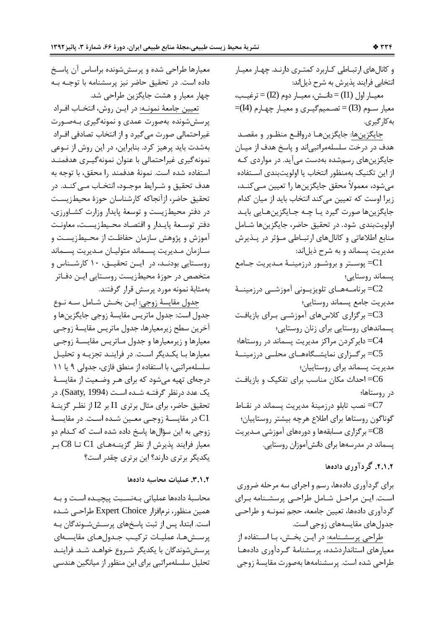و کانال های ارتباطی کاربرد کمتری دارنـد. چهـار معيـار انتخابی فرایند پذیرش به شرح ذیل|ند:

معيــار اول (I1) = دانــش، معيــار دوم (I2) = ترغيــب، معیار سـوم (I3)=تصـمیمگیـری و معیـار چهـارم (I4)= بەكا<sub>ر</sub> گىرى.

جايگزينها: جايگزينهـا درواقـع منظـور و مقصـد هدف در درخت سلسلهمراتبی اند و پاسخ هدف از میـان جايگزين هاي رسمشده بهدست مي آيد. در مواردي كـه از این تکنیک بهمنظور انتخاب یا اولویتبندی اسـتفاده مے شود، معمولاً محقق جایگزین ها را تعیین مے کنــد، زیرا اوست که تعیین میکند انتخاب باید از میان کدام جايگزينها صورت گيرد يـا چـه جـايگزينهـايي بايـد اولويتبندي شود. در تحقيق حاضر، جايگزينها شـامل منابع اطلاعاتی و کانالهای ارتباطی مؤثر در پـذیرش مديريت يسماند و به شرح ذيل اند:

پوسـتر و بروشـور درزمينــهٔ مـديريت جـامع $=$ پسماند روستایی؛

برنامــههــای تلویزیــونی آموزشــی درزمینــهٔ $\mathbb{C}2$ مديريت جامع پسماند روستايي؛

بر گزاری کلاسهای آموزشــی بـرای بازیافـت $\mathbb{C}3$ پسماندهای روستایی برای زنان روستایی؛ C4= داير كردن مراكز مديريت پسماند در روستاها؛ C5= برگـزاری نمایشــگاههــای محلــی درزمینــهٔ مدیریت پسماند برای روستاییان؛ احداث مکان مناسب برای تفکیک و بازیافت $=$ C6 در روستاها؛ C7= نصب تابلو درزمينهٔ مديريت پسماند در نقـاط گوناگون روستاها برای اطلاع هرچه بیشتر روستاییان؛

C8= برگزاری مسابقهها و دورههای آموزشی مـدیریت یسماند در مدرسهها برای دانش آموزان روستایی.

#### ۲.۱.۲. گر دآوری دادهها

برای گردآوری دادهها، رسم و اجرای سه مرحله ضروری است. ایـن مراحـل شـامل طراحـی پرسشـنامه بـرای گردآوري دادهها، تعيين جامعه، حجم نمونـه و طراحـي جدولهای مقایسههای زوجی است.

طراحی پرسشـنامه: در ایـن بخـش، بـا اسـتفاده از معیارهای استانداردشده، پرسشنامهٔ گردآوری دادهها طراحي شده است. پرسشنامهها بهصورت مقايسهٔ زوجي

معیارها طراحی شده و پرسششونده براساس آن پاسخ داده است. در تحقیق حاضر نیز پرسشنامه با توجـه بـه چهار معيار و هشت جايگزين طراحي شد.

تعيين جامعهٔ نمونــه: در ايــن روش، انتخــاب افــراد پرسششونده بهصورت عمدی و نمونهگیری بـهصـورت غیراحتمالی صورت می گیرد و از انتخاب تصادفی افـراد بهشدت باید پرهیز کرد. بنابراین، در این روش از نــوعی نمونه گیری غیراحتمالی با عنوان نمونهگیـری هدفمنـد استفاده شده است. نمونهٔ هدفمند را محقق، با توجه به هدف تحقیق و شـرایط موجـود، انتخـاب مـی کنـد. در تحقيق حاضر، ازآنجاكه كارشناسان حوزة محيطزيست در دفتر محیطزیست و توسعهٔ پایدار وزارت کشـاورزی، دفتر توسعة يايدار واقتصاد محيطزيست، معاونت آموزش و پژوهش سازمان حفاظت از محـيطزيسـت و سـازمان مـديريت يسـماند متوليـان مـديريت يسـماند روسـتايي بودنــد، در ايــن تحقيــق، ١٠ كارشــناس و متخصص در حوزهٔ محیطزیست روسـتایی ایـن دفـاتر بهمثابهٔ نمونه مورد پرسش قرار گرفتند.

جدول مقايسهٔ زوجي: ايـن بخـش شـامل سـه نـوع جدول است: جدول ماتريس مقايسهٔ زوجي جايگزين ها و آخرين سطح زيرمعيارها، جدول ماتريس مقايسهٔ زوجـي معيارها و زيرمعيارها و جدول مـاتريس مقايســهٔ زوجــى معیارها بـا یکـدیگر اسـت. در فراینـد تجزیـه و تحلیـل سلسلهمراتبي، با استفاده از منطق فازي، جدولي ٩ يا ١١ درجهای تهیه می شود که برای هـر وضـعیت از مقایسـهٔ یک عدد درنظر گرفتــه شــده اسـت (Saaty, 1994). در تحقيق حاضر، براي مثال برتري I1 بر I2 از نظـر گزينــهٔ در مقايســهٔ زوجــي معــين شــده اســت. در مقايســهٔ C1 زوجي به اين سؤالها پاسخ داده شده است كه كـدام دو معیار فرایند پذیرش از نظر گزینـههـای C1 تــا C8 بـر یکدیگر برتری دارند؟ این برتری چقدر است؟

#### ٢.١.٢. عمليات محاسبه دادهها

محاسبهٔ دادهها عملیاتی بهنسبت پیچیده است و به همین منظور، نرمافزار Expert Choice طراحـی شـده است. ابتدا، پس از ثبت پاسخهای پرسـششوندگان بـه يرســش هـا، عمليـات تركيـب جـدول هـاى مقايســهاى پرسش شوندگان با یکدیگر شـروع خواهـد شـد. فراینـد تحلیل سلسلهمراتبی برای این منظور از میانگین هندسی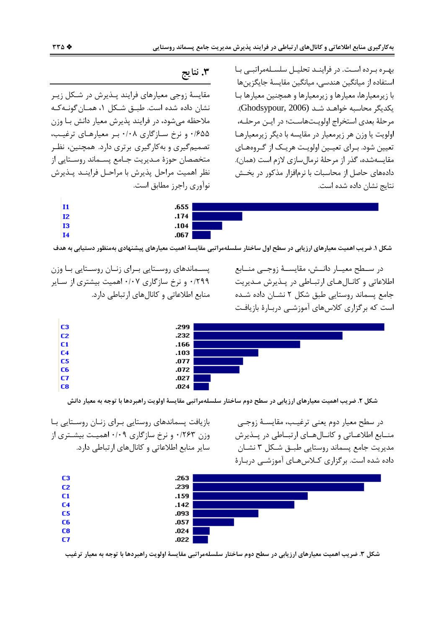بهره برده است. در فراينـد تحليـل سلسـلهمراتبـي بـا استفاده از میانگین هندسی، میانگین مقایسهٔ جایگزینها با زیرمعیارها، معیارها و زیرمعیارها و همچنین معیارها بـا یکدیگر محاسبه خواهـد شـد (Ghodsypour, 2006). مرحلهٔ بعدی استخراج اولویتهاست؛ در ایـن مرحلـه، اولویت یا وزن هر زیرمعیار در مقایسه با دیگر زیرمعیارها تعیین شود. بـرای تعیـین اولویـت هریـک از گـروههـای مقايسەشدە، گذر از مرحلهٔ نرمال سازى لازم است (همان). دادههای حاصل از محاسبات با نرمافزار مذکور در بخـش نتايج نشان داده شده است.

# ۳. نتايج

مقایسهٔ زوجی معیارهای فرایند پـذیرش در شـکل زیـر نشان داده شده است. طبــق شــكل ۱، همــان گونــه كــه ملاحظه مے شود، در فرایند پذیرش معیار دانش بـا وزن ۰/۶۵۵ و نرخ سازگاری ۰/۰۸ بر معیارهای ترغیب، تصمیم گیری و به کارگیری برتری دارد. همچنین، نظـر متخصصان حوزهٔ مـدیریت جـامع پسـماند روسـتایی از نظر اهميت مراحل پذيرش با مراحـل فراينــد پــذيرش نوآوري راجرز مطابق است.

| 11      | .655 |  |
|---------|------|--|
| $_{12}$ | .174 |  |
| 13      | .104 |  |
| 14      | .067 |  |

شکل ۱. ضریب اهمیت معیارهای ارزیابی در سطح اول ساختار سلسلهمراتبی مقایسهٔ اهمیت معیارهای پیشنهادی بهمنظور دستیابی به هدف

در سـطح معيــار دانــش، مقايســهٔ زوجــی منــابع اطلاعاتی و کانـال هـای ارتبـاطی در پـذیرش مـدیریت جامع يسماند روستايي طبق شكل ٢ نشــان داده شــده است که برگزاری کلاسهای آموزشـی دربـارهٔ بازیافـت

پســماندهای روســتایی بــرای زنــان روســتایی بــا وزن ۰/۲۹۹ و نرخ سازگاری ۰/۰۷ اهمیت بیشتری از سـایر منابع اطلاعاتی و کانالهای ارتباطی دارد.



شکل ۲. ضریب اهمیت معیارهای ارزیابی در سطح دوم ساختار سلسلهمراتبی مقایسهٔ اولویت راهبردها با توجه به معیار دانش

در سطح معيار دوم يعني ترغيب، مقايســهٔ زوجــي منــابع اطلاعــاتي و كانــالهــاي ارتبــاطي در پــذيرش مديريت جامع پسماند روستايي طبـق شـكل ٣ نشـان داده شده است. برگزاری کـلاس۵هـای آموزشــی دربـارهٔ

بازیافت پسماندهای روستایی بـرای زنـان روسـتایی بـا وزن ۰/۲۶۳ و نرخ سازگاری ۰/۰۹ اهمیت بیشتری از سایر منابع اطلاعاتی و کانالهای ارتباطی دارد.



شکل ۳. ضریب اهمیت معیارهای ارزیابی در سطح دوم ساختار سلسلهمراتبی مقایسهٔ اولویت راهبردها با توجه به معیار ترغیب

C<sub>3</sub>

C<sub>2</sub>

 $C1$ 

C<sub>4</sub> C<sub>5</sub>

C<sub>6</sub>

C7

C<sub>8</sub>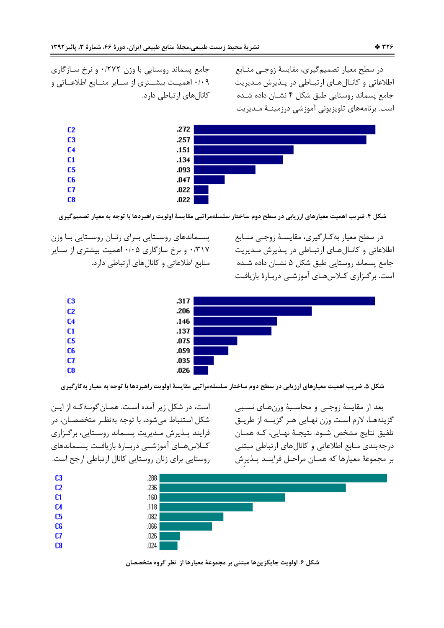در سطح معيار تصميم گيري، مقايسهٔ زوجـي منــابع اطلاعاتی و کانالهای ارتباطی در پذیرش مدیریت جامع يسماند روستايي طبق شكل ۴ نشـان داده شـده است. برنامههای تلویزیونی آموزشی درزمینـهٔ مـدیریت

جامع پسماند روستایی با وزن ۰/۲۷۲ و نرخ سـازگاری ۰/۰۹ اهمیـت بیشـتری از سـایر منـابع اطلاعـاتی و کانال های ارتباطی دارد.



شکل ۴. ضریب اهمیت معیارهای ارزیابی در سطح دوم ساختار سلسلهمراتبی مقایسهٔ اولویت راهبردها با توجه به معیار تصمیم ًکیری

در سطح معيار به كارگيرى، مقايسـهٔ زوجـى منـابع اطلاعاتی و کانـال هـای ارتبـاطی در پـذیرش مـدیریت جامع پسماند روستایی طبق شکل ۵ نشـان داده شــده است. برگـزاری کــلاس&ـای آموزشــی دربـارهٔ بازیافـت

پســماندهای روســتایی بــرای زنــان روســتایی بــا وزن ۰/۳۱۷ و نرخ سازگاری ۰/۰۵ اهمیت بیشتری از سـایر منابع اطلاعاتی و کانال های ارتباطی دارد.



شکل ۵. ضریب اهمیت معیارهای ارزیابی در سطح دوم ساختار سلسلهمراتبی مقایسهٔ اولویت راهبردها با توجه به معیار بهکارگیری

است، در شکل زیر آمده است. همـان گونـه کـه از ایـن شکل استنباط مے شود، با توجه بهنظـر متخصصـان، در فرایند پیذیرش میدیریت پسیماند روستایی، برگیزاری كىلاس هـاى آموزشــى دربـارهٔ بازيافـت پســماندهاى روستایی برای زنان روستایی کانال ارتباطی ارجح است. بعد از مقايسهٔ زوجے و محاسـبهٔ وزنهـای نسـبی گزینهها، لازم است وزن نهایی هـر گزینـه از طریـق تلفيق نتايج مشخص شـود. نتيجـهٔ نهـايي، كـه همـان درجهبندي منابع اطلاعاتي و كانالهاي ارتباطي مبتني بر مجموعهٔ معیارها که همـان مراحـل فراینـد پـذیرش



شکل ۶. اولویت جایگزینها مبتنی بر مجموعهٔ معیارها از نظر گروه متخصصان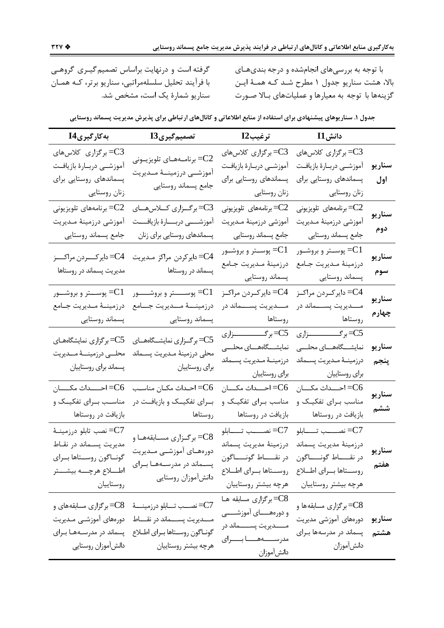با توجه به بررسیهای انجامشده و درجه بندیهـای بالا، هشت سناريو جدول ١ مطرح شـد كـه همـۀ ايـن گزینهها با توجه به معیارها و عملیاتهای بـالا صـورت

گرفته است و درنهایت براساس تصمیم گیـری گروهـی با فرآیند تحلیل سلسلهمراتبی، سناریو برتر، کـه همـان سناريو شمارهٔ يک است، مشخص شد.

|  | جدول ۱. سناریوهای پیشنهادی برای استفاده از منابع اطلاعاتی و کانالهای ارتباطی برای پذیرش مدیریت پسماند روستایی |  |  |
|--|---------------------------------------------------------------------------------------------------------------|--|--|
|--|---------------------------------------------------------------------------------------------------------------|--|--|

| بەكارگىرىI4                                        | تصمیم <i>گ</i> یریI3                                                        | ترغيبI2                             | $\overline{\phantom{a}}$ $\overline{\phantom{a}}$ $\overline{\phantom{a}}$ $\overline{\phantom{a}}$ $\overline{\phantom{a}}$ $\overline{\phantom{a}}$ $\overline{\phantom{a}}$ $\overline{\phantom{a}}$ $\overline{\phantom{a}}$ $\overline{\phantom{a}}$ $\overline{\phantom{a}}$ $\overline{\phantom{a}}$ $\overline{\phantom{a}}$ $\overline{\phantom{a}}$ $\overline{\phantom{a}}$ $\overline{\phantom{a}}$ $\overline{\phantom{a}}$ $\overline{\phantom{a}}$ $\overline$ |        |
|----------------------------------------------------|-----------------------------------------------------------------------------|-------------------------------------|-------------------------------------------------------------------------------------------------------------------------------------------------------------------------------------------------------------------------------------------------------------------------------------------------------------------------------------------------------------------------------------------------------------------------------------------------------------------------------|--------|
| C3= برگزاری کلاسهای                                | برنامــههــاي تلويزيــوني $=\!$                                             | C3= برگزاری کلاسهای                 | C3= برگزاری کلاسهای                                                                                                                                                                                                                                                                                                                                                                                                                                                           |        |
| أموزشــي دربــارهٔ بازيافـت                        | آموزشــى درزمينـــهٔ مــديريت                                               | أموزشــي دربــارهٔ بازيافــت        | أموزشمي دربارة بازيافت                                                                                                                                                                                                                                                                                                                                                                                                                                                        | سناريو |
| پسماندهای روستایی برای                             | جامع پسماند روستايي                                                         | پسماندهای روستایی برای              | پسماندهای روستایی برای                                                                                                                                                                                                                                                                                                                                                                                                                                                        | اول    |
| زنان روستايي                                       |                                                                             | زنان روستايي                        | زنان روستايي                                                                                                                                                                                                                                                                                                                                                                                                                                                                  |        |
| برنامەھاي تلويزيونى $=\!\mathbb{C}2$               | C3=برگزاری کلاسهــای                                                        | برنامەھاي تلويزيونى $=\!\!C2$       | برنامەھاي تلويزيونى $=\!\!C2$                                                                                                                                                                                                                                                                                                                                                                                                                                                 | سناريو |
| آموزشى درزمينة مـديريت                             | أموزشــــى دربــــارة بازيافــــت                                           | أموزشى درزمينهٔ مـديريت             | أموزشى درزمينهٔ مـديريت                                                                                                                                                                                                                                                                                                                                                                                                                                                       |        |
| جامع پسماند روستايي                                | پسماندهای روستایی برای زنان                                                 | جامع پسماند روستايي                 | جامع پسماند روستايي                                                                                                                                                                                                                                                                                                                                                                                                                                                           | دوم    |
|                                                    |                                                                             | پوســتر و بروشــور $=\!\mathbb{C}1$ | پوســتر و بروشــور $=\!\mathbb{C}1$                                                                                                                                                                                                                                                                                                                                                                                                                                           |        |
|                                                    | C4= دايركردن مراكز مـديريت     C4= دايركــــردن مراكــــز                   | درزمينهٔ مـديريت جـامع              | درزمينهٔ مـديريت جـامع                                                                                                                                                                                                                                                                                                                                                                                                                                                        | سناريو |
|                                                    | پسماند در روستاها مستسلم مدیریت پسماند در روستاها                           | پسماند روستايي                      | پسماند روستایی                                                                                                                                                                                                                                                                                                                                                                                                                                                                | سوم    |
|                                                    | پوســـــتر و بروشــــــور     C1= پوســـتر و بروشـــور $\!=\!\!\mathbf{C}1$ | C4= دايركـردن مراكـز                | C4= دايركـردن مراكـز                                                                                                                                                                                                                                                                                                                                                                                                                                                          |        |
| درزمينــهٔ مـديريت جــامع                          | درزمينــــهٔ مـــديريت جــــامع                                             | مــــديريت پســــماند در            | مــــديريت پســــماند در                                                                                                                                                                                                                                                                                                                                                                                                                                                      | سناريو |
|                                                    | پسماند روستایی مستاند روستایی                                               | روستاها                             | روستاها                                                                                                                                                                                                                                                                                                                                                                                                                                                                       | چهارم  |
| ____<br>=C5=برگزاري نمايشگاههـاي                   | C5=برگـزاري نمايشــگاههــاي                                                 | C5=برگـــــــــــــــزاري           | C5=برگــــــــــــــزارى                                                                                                                                                                                                                                                                                                                                                                                                                                                      |        |
| محلــى درزمينـــهٔ مــديريت                        | محلى درزمينة مـديريت پسـماند                                                | نمایشـــگاههـــای محلـــی           | نمایشـــگاههـــای محلـــی                                                                                                                                                                                                                                                                                                                                                                                                                                                     | سناريو |
|                                                    | برای روستاییان مسماند برای روستاییان                                        | درزمينــهٔ مــديريت پســماند        | درزمينــهٔ مــديريت پســماند                                                                                                                                                                                                                                                                                                                                                                                                                                                  | پنجم   |
|                                                    |                                                                             | براي روستاييان                      | برای روستاییان                                                                                                                                                                                                                                                                                                                                                                                                                                                                |        |
| C6= احـــــداث مكـــــان                           | C6= احـداث مكـان مناسـب                                                     | احــــداث مكــــان ${=}$            | C6= احـــداث مكــــان                                                                                                                                                                                                                                                                                                                                                                                                                                                         | سناريو |
| مناسـب بـراي تفكيــك و                             | بـرای تفکیــک و بازیافــت در                                                | مناسب بـرای تفکیـک و                | مناسب بـرای تفکیـک و                                                                                                                                                                                                                                                                                                                                                                                                                                                          |        |
|                                                    |                                                                             | بازیافت در روستاها                  | بازیافت در روستاها                                                                                                                                                                                                                                                                                                                                                                                                                                                            | ششم    |
| نصب تابلو درزمينــهٔ $=$                           |                                                                             | نصـــــب تـــــــابلو $=$ C7        | نصـــــب تـــــــابلو $=$ C7                                                                                                                                                                                                                                                                                                                                                                                                                                                  |        |
| مديريت پسـماند در نقــاط                           | C8= برگـزاري مسـابقههـا و                                                   | درزمينهٔ مديريت پسماند              | درزمينة مديريت پسماند                                                                                                                                                                                                                                                                                                                                                                                                                                                         | سناريو |
| گونـاگون روســتاها بــراي                          | دورەھــاى آموزشــى مــديريت                                                 | در نقـــــاط گونــــــاگون          | در نقـــــاط گونـــــاگون                                                                                                                                                                                                                                                                                                                                                                                                                                                     |        |
| اطــــلاع هرچـــــه بيشــــتر                      | پســماند در مدرســههــا بــرای                                              | روســتاها بــراي اطــلاع            | روســتاها بـراي اطــلاع                                                                                                                                                                                                                                                                                                                                                                                                                                                       | هفتم   |
| روستاييان                                          | دانشأموزان روستايي                                                          | هرچه بیشتر روستاییان                | هرچه بیشتر روستاییان                                                                                                                                                                                                                                                                                                                                                                                                                                                          |        |
|                                                    |                                                                             | C8=برگزاری مسابقه هـا               |                                                                                                                                                                                                                                                                                                                                                                                                                                                                               |        |
| C8=برگزاری مسابقههای و<br>دورەھاى آموزشــى مـديريت | C7=نصـــب تـــابلو درزمينــــهٔ<br>مـــديريت پســـماند در نقــــاط          | و دورههــــاي آموزشــــي            | C8=برگزاري مسابقهها و<br>دورەھاى آموزشى مديريت                                                                                                                                                                                                                                                                                                                                                                                                                                |        |
| پسماند در مدرسـههـا بـرای                          | گونـاگون روسـتاها بـراي اطـلاع                                              | مـــــديريت پســـــماند در          |                                                                                                                                                                                                                                                                                                                                                                                                                                                                               | سناريو |
|                                                    | هرچه بیشتر روستاییان                                                        | مدرســـــههــــا بـــــراي          | پسماند در مدرسهها بـرای                                                                                                                                                                                                                                                                                                                                                                                                                                                       | هشتم   |
| دانش آموزان روستايي                                |                                                                             | دانشأموزان                          | دانش آموزان                                                                                                                                                                                                                                                                                                                                                                                                                                                                   |        |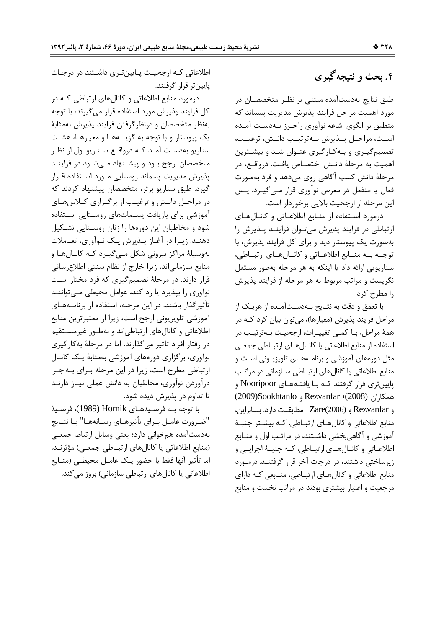# ۴. بحث و نتیجه گیری

طبق نتایج بهدستآمده مبتنی بر نظـر متخصصـان در مورد اهمیت مراحل فرایند پذیرش مدیریت پسماند که منطبق بر الگوی اشاعه نوآوری راجـرز بـهدسـت آمـده است، مراحـل يــذيرش بــهترتيــب دانــش، ترغيــب، تصمیم گیـری و بـهکـارگیری عنـوان شـد و بیشـترین اهميت به مرحلهٔ دانـش اختصـاص يافـت. درواقـع، در مرحلهٔ دانش کسب آگاهی روی میدهد و فرد بهصورت فعال يا منفعل در معرض نوآوري قرار مـي٤گيــرد. پــس این مرحله از ارجحیت بالایی برخوردار است.

درمورد استفاده از منـابع اطلاعـاتی و کانـالهـای ارتباطی در فرایند پذیرش میتوان فراینـد پـذیرش را بهصورت یک پیوستار دید و برای کل فرایند پذیرش، با توجـه بـه منـابع اطلاعـاتي وكانـالهـاي ارتبـاطي، سناريويي ارائه داد يا اينكه به هر مرحله بهطور مستقل نگریست و مراتب مربوط به هر مرحله از فرایند پذیرش را مطرح کرد.

با تعمق و دقت به نتـايج بـهدسـتآمـده از هريـک از مراحل فرایند پذیرش (معیارها)، می توان بیان کرد کـه در همهٔ مراحل، بـا کمـی تغییـرات، ارجحیـت بـهترتیـب در استفاده از منابع اطلاعاتي يا كانـالهـاي ارتبـاطي جمعـي مثل دورههای آموزشی و برنامـههـای تلویزیـونی اسـت و منابع اطلاعاتی یا کانال های ارتبــاطی ســازمانی در مراتـب پایینتری قرار گرفتند کـه بـا یافتـههـای Nooripoor و همكاران (2008)، Rezvanfar و 2009)Sookhtanlo و Rezvanfar و Zare(2006 مطابقت دارد. بنـابراين، منابع اطلاعاتی و کانالهـای ارتبـاطی، کـه بیشـتر جنبـهٔ آموزشي و آگاهي بخشي داشــتند، در مراتـب اول و منــابع اطلاعــاتي و كانــالهــاي ارتبــاطي، كــه جنبــهٔ اجرايــي و زیرساختی داشتند، در درجات آخر قرار گرفتنـد. درمـورد منابع اطلاعاتی و کانالهای ارتبـاطی، منـابعی کـه دارای مرجعیت و اعتبار بیشتری بودند در مراتب نخست و منابع

اطلاعاتی کـه ارجحیـت پـایینتری داشـتند در درجـات ياپينټر قرار گرفتند.

درمورد منابع اطلاعاتی و کانالهای ارتباطی کـه در کل فرایند پذیرش مورد استفاده قرار می گیرند، با توجه بهنظر متخصصان و درنظر گرفتن فرایند پذیرش بهمثابهٔ يک پيوستار و با توجه به گزينـههـا و معيارهـا، هشـت سناریو بهدست آمـد کـه درواقـع سـناریو اول از نظـر متخصصان ارجح بود و پیشـنهاد مـیشـود در فراینـد پذیرش مدیریت پسماند روستایی مـورد اسـتفاده قـرار گیرد. طبق سناریو برتر، متخصصان پیشنهاد کردند که در مراحـل دانـش و ترغيـب از برگـزاري كـلاسهـاي آموزشی برای بازیافت پسـماندهای روسـتایی اسـتفاده شود و مخاطبان این دورهها را زنان روسـتایی تشـکیل دهنـد. زيـرا در آغـاز پـذيرش يـک نـوآوري، تعـاملات بهوسیلهٔ مراکز بیرونی شکل مےگیرد کـه کانـالهـا و منابع سازمانی|ند، زیرا خارج از نظام سنتی اطلاع رسانی قرار دارند. در مرحلهٔ تصمیمگیری که فرد مختار است نوآوری را بپذیرد یا رد کند، عوامل محیطی مےتوانند تأثیر گذار باشند. در این مرحله، استفاده از برنامـههـای آموزشي تلويزيوني ارجح است، زيرا از معتبرترين منابع اطلاعاتی و کانالهای ارتباطی|ند و بهطـور غیرمسـتقیم در رفتار افراد تأثير ميگذارند. اما در مرحلهٔ بهكارگيري نوآوری، برگزاری دورههای آموزشی بهمثابهٔ یـک کانــال ارتباطی مطرح است، زیرا در این مرحله بـرای بـهاجـرا درآوردن نوآوری، مخاطبان به دانش عملی نیـاز دارنـد تا تداوم در پذیرش دیده شود.

با توجه بـه فرضـيههـاي Hornik (1989)، فرضـيهٔ "ضـرورت عامــل بــراي تأثيرهــاي رســانههــا" بــا نتــايج بهدستآمده همخواني دارد؛ يعني وسايل ارتباط جمعى (منابع اطلاعاتی یا کانالهای ارتباطی جمعی) مؤثرند، اما تأثير آنها فقط با حضور يـک عامـل محيطـي (منــابع اطلاعاتی یا کانال های ارتباطی سازمانی) بروز می کند.